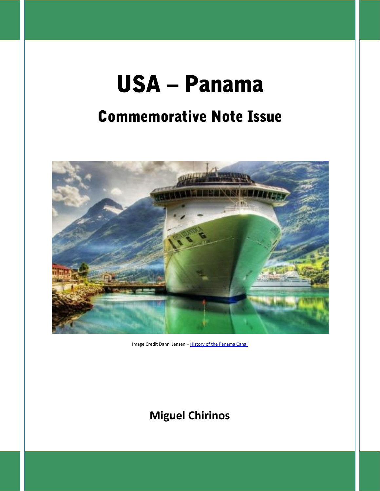# **USA – Panama**

# **Commemorative Note Issue**



Image Credit Danni Jensen – History of the Panama Canal

### **Miguel Chirinos**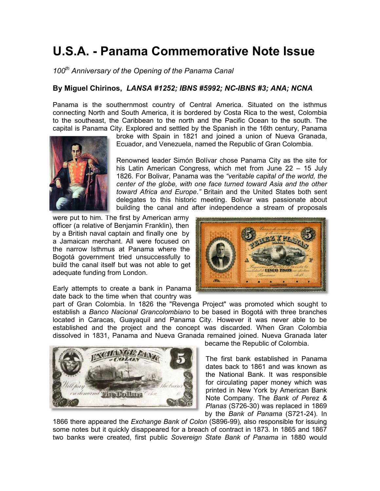## **U.S.A. - Panama Commemorative Note Issue Panama**

*100th Anniversary of the Opening of the Panama Canal*

#### **By Miguel Chirinos,** *LANSA #1252; IBNS #5992; NC-IBNS #3; ANA; NCNA #5992;*

Panama is the southernmost country of Central America. Situated on the isthmus connecting North and South America, it is bordered by Costa Rica to the west, Colombia to the southeast, the Caribbean to the north and the Pacific Ocean to the south. The capital is Panama City. Explored and settled by the Spanish in the 16th century, Panama

> broke with Spain in 1821 and joined a union of Nueva Granada, Ecuador, and Venezuela, named the Republic of Gran Colombia.

Renowned leader Simón Bolívar chose Panama City as the site for his Latin American Congress, which met from June 22 – 15 July 1826. For Bolivar, Panama was the *"veritable capital of the world, the center of the globe, with one face turned toward Asia and the other toward Africa and Europe."* Britain and the United States both sent delegates to this historic meeting. Bolivar was passionate about building the canal and after independence a stream of proposals Panama is the southernmost country of Central America. Situated on the isthmus<br>connecting North and South America, it is bordered by Costa Rica to the west, Colombia<br>to the southeast, the Caribbean to the north and the Pac

were put to him. The first by American army officer (a relative of Benjamin Franklin), then by a British naval captain and finally one by a Jamaican merchant. All were focused on the narrow Isthmus at Panama where the Bogotá government tried unsuccessfully to the narrow Isthmus at Panama where the<br>Bogotá government tried unsuccessfully to<br>build the canal itself but was not able to get adequate funding from London.



Early attempts to create a bank in Panama date back to the time when that country was

part of Gran Colombia. In 1826 the "Revenga Project" was promoted which sought to establish a *Banco Nacional Grancolombiano* to be based in Bogotá with three branches located in Caracas, Guayaquil and Panama City. However it was never able to be established and the project and the concept was discarded. When Gran Colombia dissolved in 1831, Panama and Nueva Granada remained joined. Nueva Granada later in Panama is a bank in Panama is the monetary was<br>
of Gran Colombia. In 1826 the "Revenga Project" was promoted which sought to<br>
olish a Banco Nacional Grancolombiano to be based in Bogotá with three branches<br>
ed in Caraca



became the Republic of Colombia.

The first bank established in Panama dates back to 1861 and was known as the National Bank. It was responsible for circulating paper money which was printed in New York by American Bank Note Company. The *Bank of Perez & Planas* (S726-30) was replaced in 1869 by the *Bank of Panama* (S721-24). In Note Company. The *Bank of Perez &*<br>*Planas* (S726-30) was replaced in 1869<br>by the *Bank of Panama* (S721-24). In

1866 there appeared the *Exchange Bank of Colon* (S896-99)*,* also responsible for issuing appeared some notes but it quickly disappeared for a breach of contract in 1873. In 1865 and 1867 two banks were created, first public *Sovereign State Bank of Panama* in 1880 would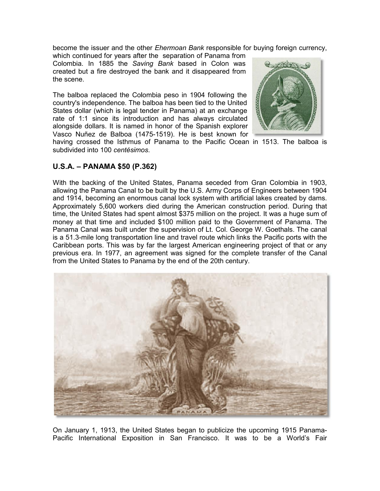become the issuer and the other *Ehermoan Bank* responsible for buying foreign currency,

which continued for years after the separation of Panama from Colombia. In 1885 the *Saving Bank* based in Colon was created but a fire destroyed the bank and it disappeared from the scene. which continued for years after the separation of Panama from<br>Colombia. In 1885 the *Saving Bank* based in Colon was<br>created but a fire destroyed the bank and it disappeared from<br>the scene.<br>The balboa replaced the Colombia

The balboa replaced the Colombia peso in 1904 following the country's independence. The balboa has been tied to the United States dollar (which is legal tender in Panama) at an exchange rate of 1:1 since its introduction and has always circulated alongside dollars. It is named in honor of the Spanish explorer Vasco Nuñez de Balboa (1475-1519). He is best known for having crossed the Isthmus of Panama to the Pacific Ocean in 1513. The balboa is since its introduction and has always circulated<br>Iollars. It is named in honor of the Spanish explorer<br>iez de Balboa (1475-1519). He is best known for<br>ssed the Isthmus of Panama to the Pacific Ocean in 1513. The balboa<br>int



#### **U.S.A. – PANAMA \$50 (P.362) PANAMA**

subdivided into 100 *centésimos*.

With the backing of the United States, Panama seceded from Gran Colombia in 1903, allowing the Panama Canal to be built by the U.S. Army Corps of Engineers between 1904 and 1914, becoming an enormous canal lock system with artificial lakes created by dams. Approximately 5,600 workers died during the American construction period. During that time, the United States had spent almost \$375 million on the project. It was a huge sum of money at that time and included \$100 million paid to the Government of Panama. The Panama Canal was built under the supervision of Lt. Col. George W. Goethals. The canal is a 51.3-mile long transportation line and travel route which links the Pacific ports with the Caribbean ports. This was by far the largest American engineering project of that or any previous era. In 1977, an agreement was signed for the complete transfer of the Canal from the United States to Panama by the end of the 20th century.



On January 1, 1913, the United States began to publicize the upcoming 1915 Panama- Pacific International Exposition in San Francisco. It was to be a World's Fair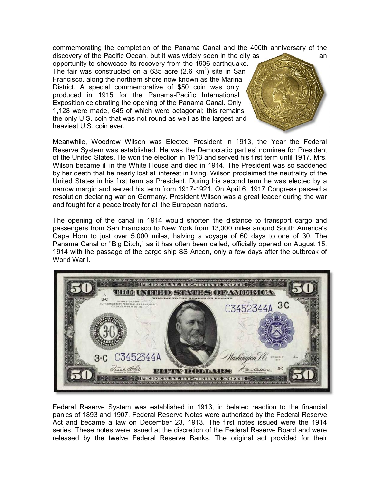commemorating the completion of the Panama Canal and the 400th anniversary of the

discovery of the Pacific Ocean, but it was widely seen in the city as an opportunity to showcase its recovery from the 1906 earthquake. The fair was constructed on a 635 acre (2.6 km<sup>2</sup>) site in San Francisco, along the northern shore now known as the Marina District. A special commemorative of \$50 coin was only produced in 1915 for the Panama-Pacific International Exposition celebrating the opening of the Panama Canal. Only 1,128 were made, 645 of which were octagonal; this remains the only U.S. coin that was not round as well as the largest and heaviest U.S. coin ever. commemorating the completion of the Panama Canal and the 400th anniversary of<br>discovery of the Pacific Ocean, but it was widely seen in the city as<br>opportunity to showcase its recovery from the 1906 earthquake.<br>The fair wa



Meanwhile, Woodrow Wilson was Elected President in 1913, the Year the Federal Reserve System was established. He was the Democratic parties' nominee for President of the United States. He won the election in 1913 and served his first term until 1917. Mrs. Wilson became ill in the White House and died in 1914. The President was so saddened by her death that he nearly lost all interest in living. Wilson proclaimed the neutrality of the United States in his first term as President. During his second term he was elected by a narrow margin and served his term from 1917-1921. On April 6, 1917 Congress passed a resolution declaring war on Germany. President Wilson was a great leader during the war and fought for a peace treaty for all the European nations.

The opening of the canal in 1914 would shorten the distance to transport cargo and passengers from San Francisco to New York from 13,000 miles around South America's Cape Horn to just over 5,000 miles, halving a voyage of 60 days to one of 30. The Panama Canal or "Big Ditch," as it has often been called, officially opened on August 15, 1914 with the passage of the cargo ship SS Ancon, only a few days after the outbreak of World War I.



Federal Reserve System was established in 1913, in belated reaction to the financial panics of 1893 and 1907. Federal Reserve Notes were authorized by the Federal Reserve Act and became a law on December 23, 1913. The first notes issued were the 1914 series. These notes were issued at the discretion of the Federal Reserve Board and were released by the twelve Federal Reserve Banks. The original act provided for their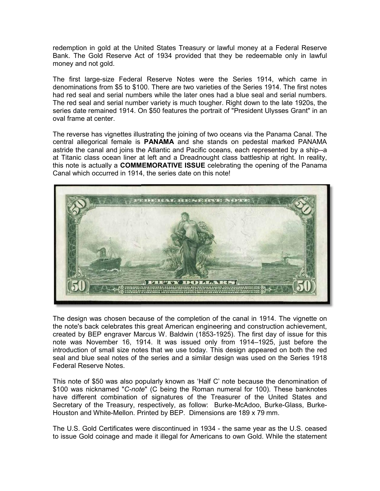redemption in gold at the United States Treasury or lawful money at a Federal Reserve Bank. The Gold Reserve Act of 1934 provided that they be redeemable only in lawful money and not gold.

The first large-size Federal Reserve Notes were the Series 1914, which came in denominations from \$5 to \$100. There are two varieties of the Series 1914. The first notes had red seal and serial numbers while the later ones had a blue seal and serial numbers. The red seal and serial number variety is much tougher. Right down to the late 1920s, the series date remained 1914. On \$50 features the portrait of "President Ulysses Grant" in an oval frame at center.

The reverse has vignettes illustrating the joining of two oceans via the Panama Canal. The central allegorical female is **PANAMA** and she stands on pedestal marked PANAMA astride the canal and joins the Atlantic and Pacific oceans, each represented by a ship--a at Titanic class ocean liner at left and a Dreadnought class battleship at right. In reality, this note is actually a **COMMEMORATIVE ISSUE** celebrating the opening of the Panama Canal which occurred in 1914, the series date on this note!



The design was chosen because of the completion of the canal in 1914. The vignette on the note's back celebrates this great American engineering and construction achievement, created by BEP engraver Marcus W. Baldwin (1853-1925). The first day of issue for this note was November 16, 1914. It was issued only from 1914–1925, just before the introduction of small size notes that we use today. This design appeared on both the red seal and blue seal notes of the series and a similar design was used on the Series 1918 Federal Reserve Notes.

This note of \$50 was also popularly known as 'Half C' note because the denomination of \$100 was nicknamed "*C-note*" (C being the Roman numeral for 100). These banknotes have different combination of signatures of the Treasurer of the United States and Secretary of the Treasury, respectively, as follow: Burke-McAdoo, Burke-Glass, Burke- Houston and White-Mellon. Printed by BEP. Dimensions are 189 x 79 mm. note was November 16, 1914. It was issued only from 1914–1925, just<br>introduction of small size notes that we use today. This design appeared on b<br>seal and blue seal notes of the series and a similar design was used on the

The U.S. Gold Certificates were discontinued in 1934 - the same year as the U.S. ceased to issue Gold coinage and made it illegal for Americans to own Gold. While the statement